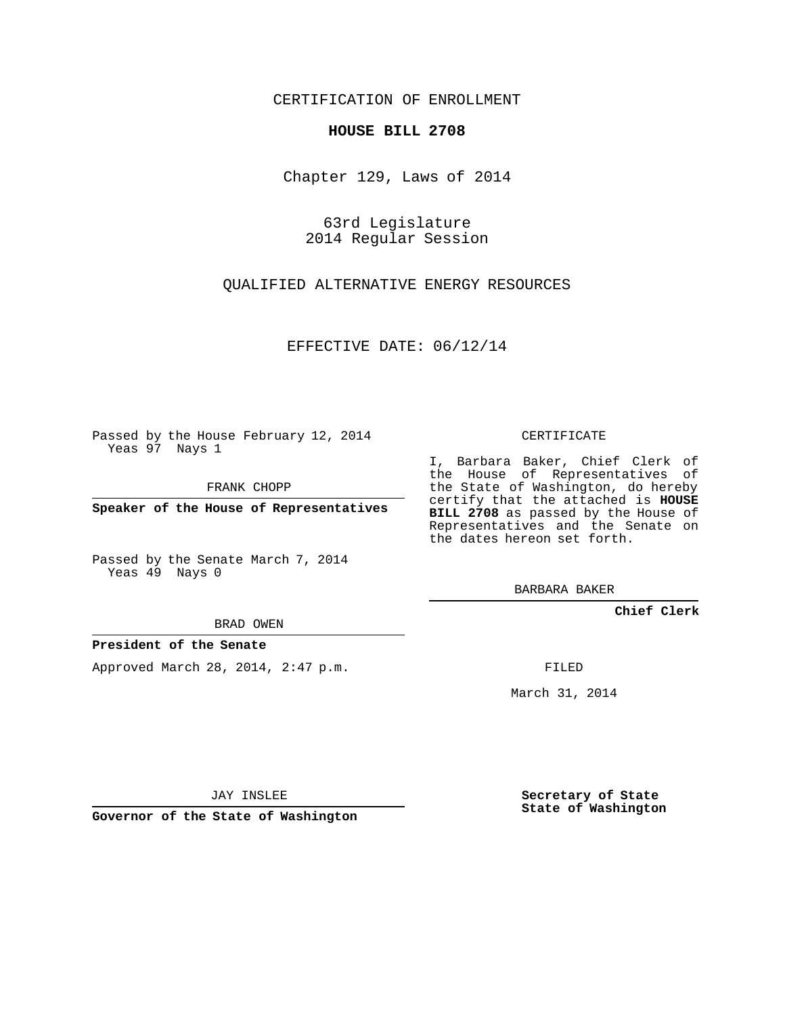## CERTIFICATION OF ENROLLMENT

### **HOUSE BILL 2708**

Chapter 129, Laws of 2014

63rd Legislature 2014 Regular Session

QUALIFIED ALTERNATIVE ENERGY RESOURCES

EFFECTIVE DATE: 06/12/14

Passed by the House February 12, 2014 Yeas 97 Nays 1

FRANK CHOPP

**Speaker of the House of Representatives**

Passed by the Senate March 7, 2014 Yeas 49 Nays 0

BRAD OWEN

#### **President of the Senate**

Approved March 28, 2014, 2:47 p.m.

CERTIFICATE

I, Barbara Baker, Chief Clerk of the House of Representatives of the State of Washington, do hereby certify that the attached is **HOUSE BILL 2708** as passed by the House of Representatives and the Senate on the dates hereon set forth.

BARBARA BAKER

**Chief Clerk**

FILED

March 31, 2014

JAY INSLEE

**Governor of the State of Washington**

**Secretary of State State of Washington**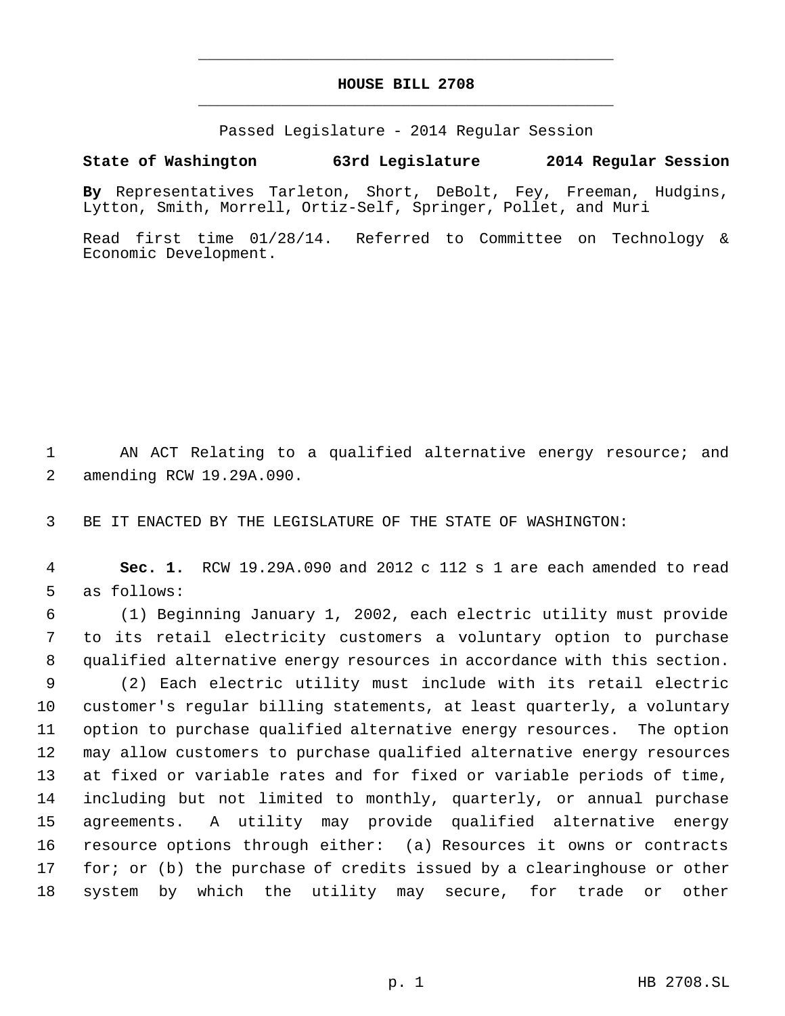# **HOUSE BILL 2708** \_\_\_\_\_\_\_\_\_\_\_\_\_\_\_\_\_\_\_\_\_\_\_\_\_\_\_\_\_\_\_\_\_\_\_\_\_\_\_\_\_\_\_\_\_

\_\_\_\_\_\_\_\_\_\_\_\_\_\_\_\_\_\_\_\_\_\_\_\_\_\_\_\_\_\_\_\_\_\_\_\_\_\_\_\_\_\_\_\_\_

Passed Legislature - 2014 Regular Session

# **State of Washington 63rd Legislature 2014 Regular Session**

**By** Representatives Tarleton, Short, DeBolt, Fey, Freeman, Hudgins, Lytton, Smith, Morrell, Ortiz-Self, Springer, Pollet, and Muri

Read first time 01/28/14. Referred to Committee on Technology & Economic Development.

 AN ACT Relating to a qualified alternative energy resource; and amending RCW 19.29A.090.

BE IT ENACTED BY THE LEGISLATURE OF THE STATE OF WASHINGTON:

 **Sec. 1.** RCW 19.29A.090 and 2012 c 112 s 1 are each amended to read as follows:

 (1) Beginning January 1, 2002, each electric utility must provide to its retail electricity customers a voluntary option to purchase qualified alternative energy resources in accordance with this section.

 (2) Each electric utility must include with its retail electric customer's regular billing statements, at least quarterly, a voluntary option to purchase qualified alternative energy resources. The option may allow customers to purchase qualified alternative energy resources at fixed or variable rates and for fixed or variable periods of time, including but not limited to monthly, quarterly, or annual purchase agreements. A utility may provide qualified alternative energy resource options through either: (a) Resources it owns or contracts for; or (b) the purchase of credits issued by a clearinghouse or other system by which the utility may secure, for trade or other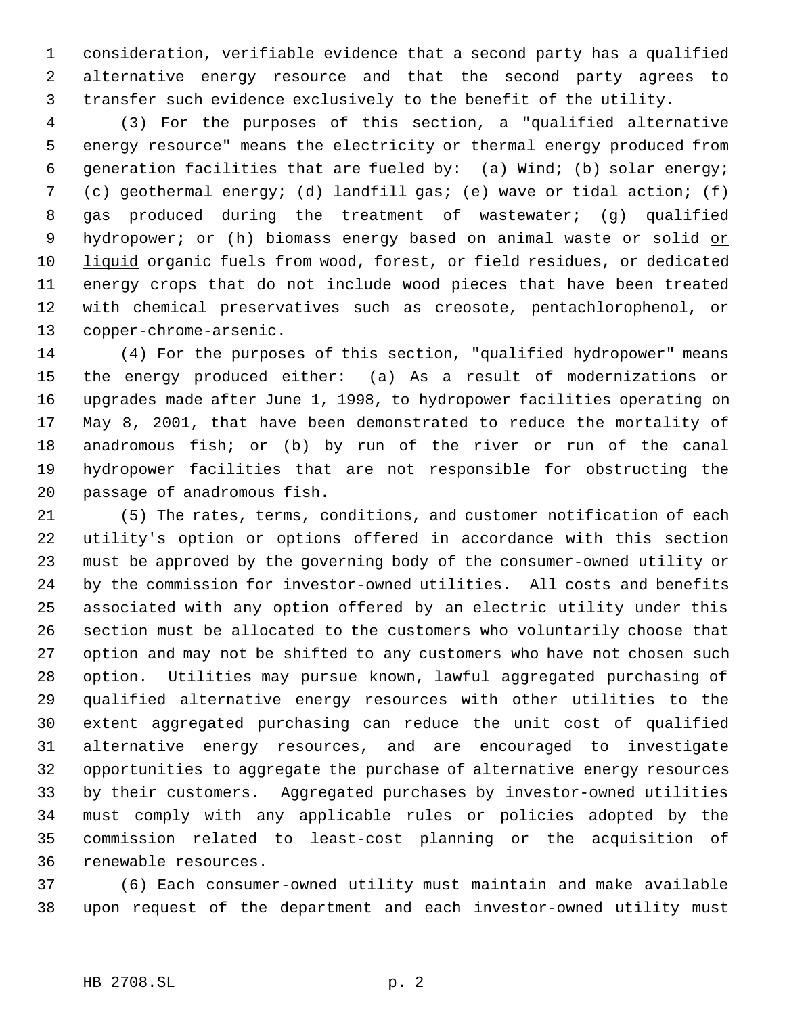consideration, verifiable evidence that a second party has a qualified alternative energy resource and that the second party agrees to transfer such evidence exclusively to the benefit of the utility.

 (3) For the purposes of this section, a "qualified alternative energy resource" means the electricity or thermal energy produced from generation facilities that are fueled by: (a) Wind; (b) solar energy; (c) geothermal energy; (d) landfill gas; (e) wave or tidal action; (f) gas produced during the treatment of wastewater; (g) qualified 9 hydropower; or (h) biomass energy based on animal waste or solid or liquid organic fuels from wood, forest, or field residues, or dedicated energy crops that do not include wood pieces that have been treated with chemical preservatives such as creosote, pentachlorophenol, or copper-chrome-arsenic.

 (4) For the purposes of this section, "qualified hydropower" means the energy produced either: (a) As a result of modernizations or upgrades made after June 1, 1998, to hydropower facilities operating on May 8, 2001, that have been demonstrated to reduce the mortality of anadromous fish; or (b) by run of the river or run of the canal hydropower facilities that are not responsible for obstructing the passage of anadromous fish.

 (5) The rates, terms, conditions, and customer notification of each utility's option or options offered in accordance with this section must be approved by the governing body of the consumer-owned utility or by the commission for investor-owned utilities. All costs and benefits associated with any option offered by an electric utility under this section must be allocated to the customers who voluntarily choose that option and may not be shifted to any customers who have not chosen such option. Utilities may pursue known, lawful aggregated purchasing of qualified alternative energy resources with other utilities to the extent aggregated purchasing can reduce the unit cost of qualified alternative energy resources, and are encouraged to investigate opportunities to aggregate the purchase of alternative energy resources by their customers. Aggregated purchases by investor-owned utilities must comply with any applicable rules or policies adopted by the commission related to least-cost planning or the acquisition of renewable resources.

 (6) Each consumer-owned utility must maintain and make available upon request of the department and each investor-owned utility must